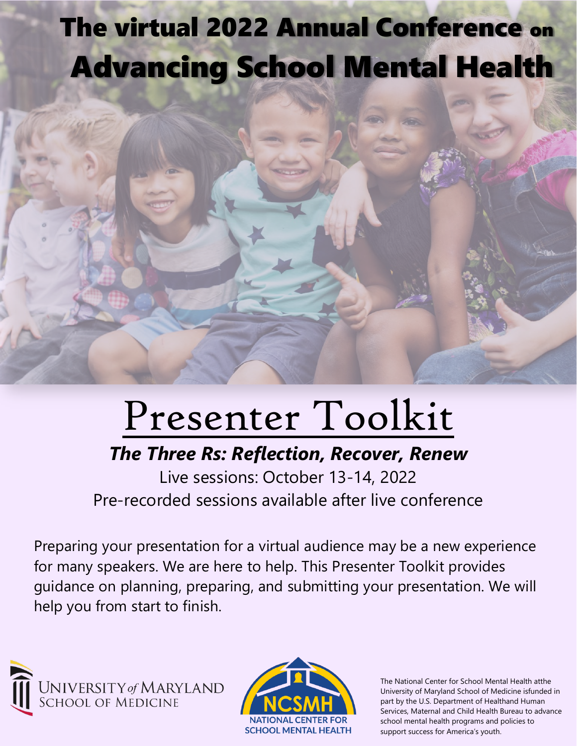## The virtual 2022 Annual Conference on Advancing School Mental Health

# Presenter Toolkit

### *The Three Rs: Reflection, Recover, Renew*

Live sessions: October 13-14, 2022 Pre-recorded sessions available after live conference

Preparing your presentation for a virtual audience may be a new experience for many speakers. We are here to help. This Presenter Toolkit provides guidance on planning, preparing, and submitting your presentation. We will help you from start to finish.





The National Center for School Mental Health atthe University of Maryland School of Medicine isfunded in part by the U.S. Department of Healthand Human Services, Maternal and Child Health Bureau to advance school mental health programs and policies to support success for America's youth.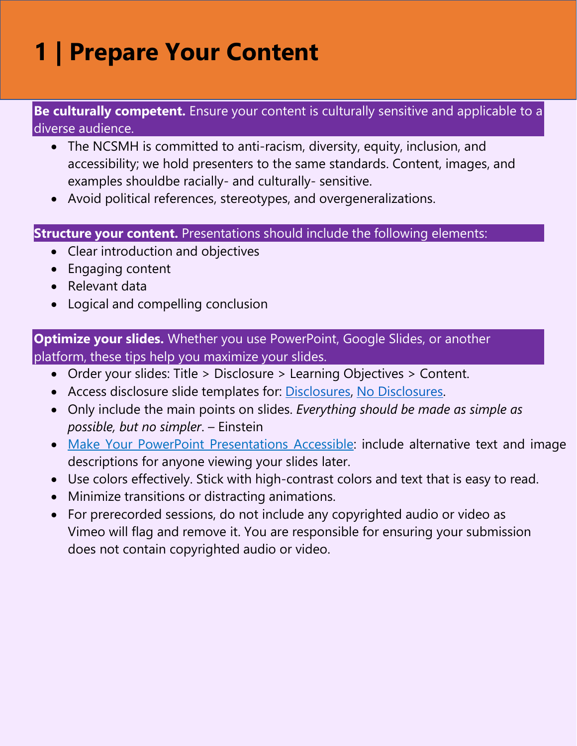### **1 | Prepare Your Content**

#### **Be culturally competent.** Ensure your content is culturally sensitive and applicable to a diverse audience.

- The NCSMH is committed to anti-racism, diversity, equity, inclusion, and accessibility; we hold presenters to the same standards. Content, images, and examples shouldbe racially- and culturally- sensitive.
- Avoid political references, stereotypes, and overgeneralizations.

#### **Structure your content.** Presentations should include the following elements:

- Clear introduction and objectives
- Engaging content
- Relevant data
- Logical and compelling conclusion

#### **Optimize your slides.** Whether you use PowerPoint, Google Slides, or another platform, these tips help you maximize your slides.

- Order your slides: Title > Disclosure > Learning Objectives > Content.
- Access disclosure slide templates for: [Disclosures,](https://somumaryland.sharepoint.com/sites/NationalCenterforSchoolMentalHealth/Shared%20Documents/Forms/AllItems.aspx?RootFolder=%2Fsites%2FNationalCenterforSchoolMentalHealth%2FShared%20Documents%2FConferences%2FASMH%2FDisclosure%20Slides&FolderCTID=0x0120001FC3954CC2752440838690FB74DEC084) No [Disclosures.](https://somumaryland.sharepoint.com/sites/NationalCenterforSchoolMentalHealth/Shared%20Documents/Forms/AllItems.aspx?RootFolder=%2Fsites%2FNationalCenterforSchoolMentalHealth%2FShared%20Documents%2FConferences%2FASMH%2FDisclosure%20Slides&FolderCTID=0x0120001FC3954CC2752440838690FB74DEC084)
- Only include the main points on slides. *Everything should be made as simple as possible, but no simpler*. – Einstein
- [Make Your PowerPoint Presentations Accessible:](https://support.microsoft.com/en-us/office/make-your-powerpoint-presentations-accessible-to-people-with-disabilities-6f7772b2-2f33-4bd2-8ca7-dae3b2b3ef25) include alternative text and image descriptions for anyone viewing your slides later.
- Use colors effectively. Stick with high-contrast colors and text that is easy to read.
- Minimize transitions or distracting animations.
- For prerecorded sessions, do not include any copyrighted audio or video as Vimeo will flag and remove it. You are responsible for ensuring your submission does not contain copyrighted audio or video.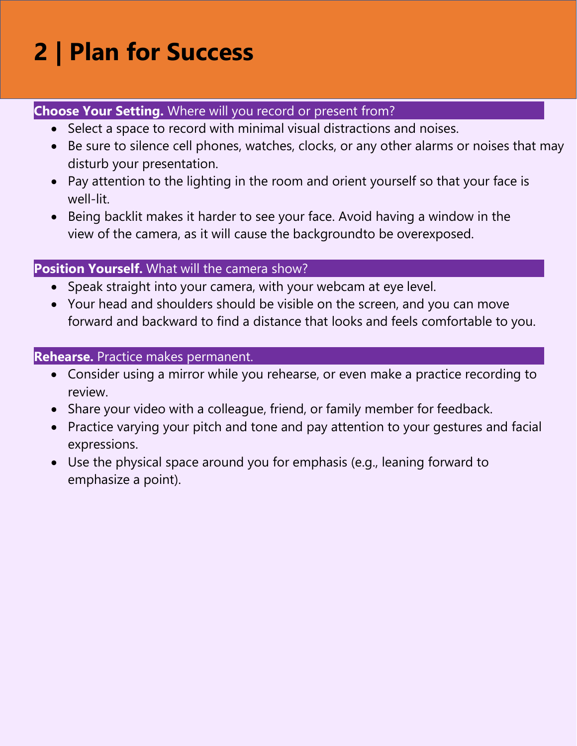### **2 | Plan for Success**

#### **Choose Your Setting.** Where will you record or present from?

- Select a space to record with minimal visual distractions and noises.
- Be sure to silence cell phones, watches, clocks, or any other alarms or noises that may disturb your presentation.
- Pay attention to the lighting in the room and orient yourself so that your face is well-lit.
- Being backlit makes it harder to see your face. Avoid having a window in the view of the camera, as it will cause the backgroundto be overexposed.

#### **Position Yourself.** What will the camera show?

- Speak straight into your camera, with your webcam at eye level.
- Your head and shoulders should be visible on the screen, and you can move forward and backward to find a distance that looks and feels comfortable to you.

#### **Rehearse.** Practice makes permanent.

- Consider using a mirror while you rehearse, or even make a practice recording to review.
- Share your video with a colleague, friend, or family member for feedback.
- Practice varying your pitch and tone and pay attention to your gestures and facial expressions.
- Use the physical space around you for emphasis (e.g., leaning forward to emphasize a point).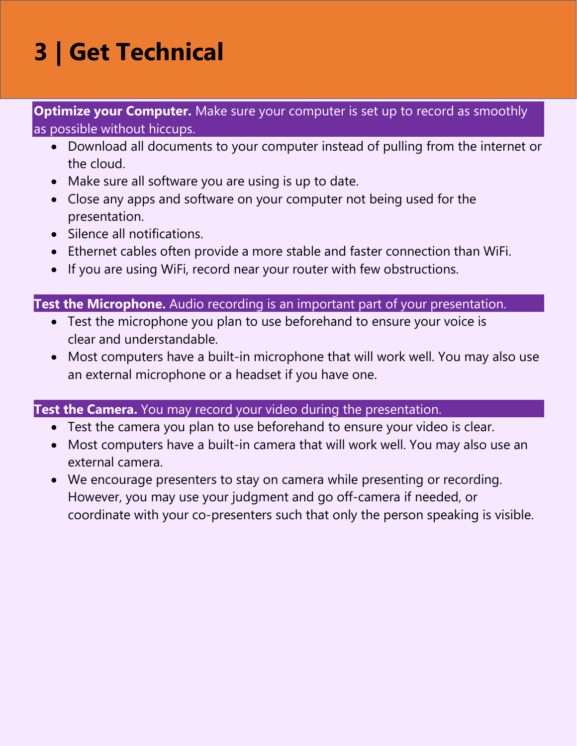### **3 | Get Technical**

**Optimize your Computer.** Make sure your computer is set up to record as smoothly as possible without hiccups.

- Download all documents to your computer instead of pulling from the internet or the cloud.
- Make sure all software you are using is up to date.
- Close any apps and software on your computer not being used for the presentation.
- Silence all notifications.
- Ethernet cables often provide a more stable and faster connection than WiFi.
- If you are using WiFi, record near your router with few obstructions.

#### **Test the Microphone.** Audio recording is an important part of your presentation.

- Test the microphone you plan to use beforehand to ensure your voice is clear and understandable.
- Most computers have a built-in microphone that will work well. You may also use an external microphone or a headset if you have one.

#### **Test the Camera.** You may record your video during the presentation.

- Test the camera you plan to use beforehand to ensure your video is clear.
- Most computers have a built-in camera that will work well. You may also use an external camera.
- We encourage presenters to stay on camera while presenting or recording. However, you may use your judgment and go off-camera if needed, or coordinate with your co-presenters such that only the person speaking is visible.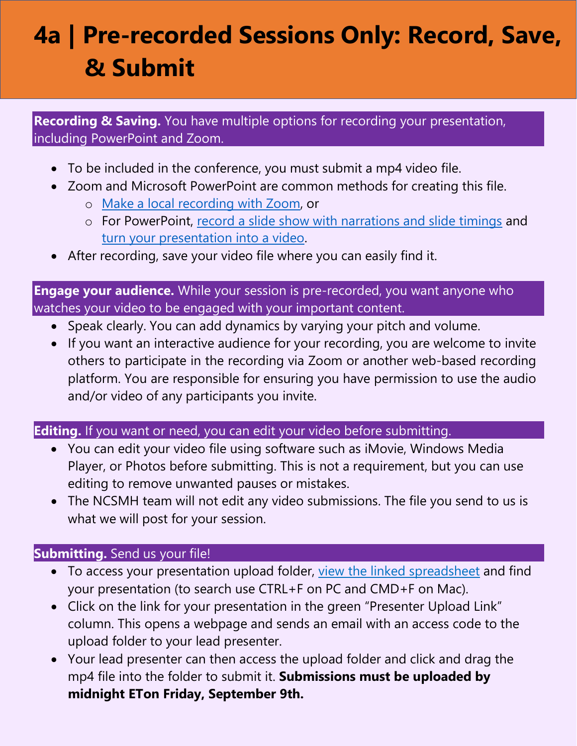### **4a | Pre-recorded Sessions Only: Record, Save, & Submit**

**Recording & Saving.** You have multiple options for recording your presentation, including PowerPoint and Zoom.

- To be included in the conference, you must submit a mp4 video file.
- Zoom and Microsoft PowerPoint are common methods for creating this file.
	- o Make a local [recording](https://support.zoom.us/hc/en-us/articles/201362473-Local-recording) with Zoom, or
	- o For PowerPoint, [record a slide show with narrations and slide timings](https://support.microsoft.com/en-us/office/record-a-slide-show-with-narration-and-slide-timings-0b9502c6-5f6c-40ae-b1e7-e47d8741161c#%3A%7E%3Atext%3DIn%20the%20Record%20Slide%20Show%20dialog%20box%2C%20select%20the%20Narrations%2Cyour%20narration%2C%20click%20Resume%20Recording) and turn your [presentation](https://support.microsoft.com/en-us/office/turn-your-presentation-into-a-video-c140551f-cb37-4818-b5d4-3e30815c3e83#%3A%7E%3Atext%3DSave%20as%20a%20video%20file%26text%3DOn%20the%20File%20menu%2C%20select%2C%2C%20click%20Export%20to%20Video.)) into a video.
- After recording, save your video file where you can easily find it.

**Engage your audience.** While your session is pre-recorded, you want anyone who watches your video to be engaged with your important content.

- Speak clearly. You can add dynamics by varying your pitch and volume.
- If you want an interactive audience for your recording, you are welcome to invite others to participate in the recording via Zoom or another web-based recording platform. You are responsible for ensuring you have permission to use the audio and/or video of any participants you invite.

**Editing.** If you want or need, you can edit your video before submitting.

- You can edit your video file using software such as iMovie, Windows Media Player, or Photos before submitting. This is not a requirement, but you can use editing to remove unwanted pauses or mistakes.
- The NCSMH team will not edit any video submissions. The file you send to us is what we will post for your session.

#### **Submitting.** Send us your file!

- To access your presentation upload folder, [view the linked spreadsheet](https://docs.google.com/spreadsheets/d/1CSYlcNuALihRp9DWtTck8ALCbthHYTy3/edit?usp=sharing&ouid=110081281936027954971&rtpof=true&sd=true) and find your presentation (to search use CTRL+F on PC and CMD+F on Mac).
- Click on the link for your presentation in the green "Presenter Upload Link" column. This opens a webpage and sends an email with an access code to the upload folder to your lead presenter.
- Your lead presenter can then access the upload folder and click and drag the mp4 file into the folder to submit it. **Submissions must be uploaded by midnight ETon Friday, September 9th.**